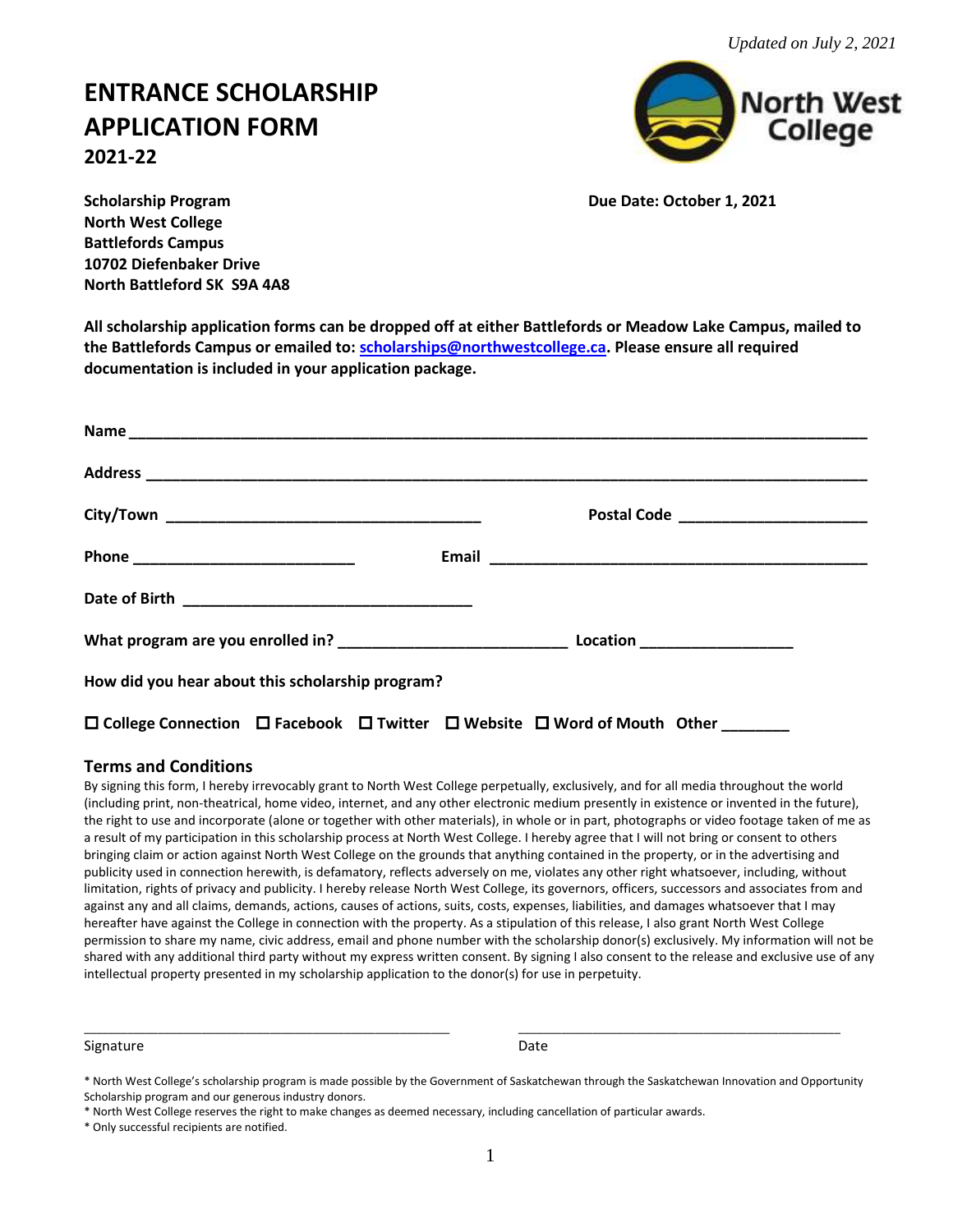# **ENTRANCE SCHOLARSHIP APPLICATION FORM 2021-22**



**Scholarship Program Due Date: October 1, 2021 North West College Battlefords Campus 10702 Diefenbaker Drive North Battleford SK S9A 4A8**

**All scholarship application forms can be dropped off at either Battlefords or Meadow Lake Campus, mailed to the Battlefords Campus or emailed to: [scholarships@northwestcollege.ca.](mailto:scholarships@northwestcollege.ca) Please ensure all required documentation is included in your application package.**

| How did you hear about this scholarship program?                                                                  |  |  |
|-------------------------------------------------------------------------------------------------------------------|--|--|
| $\square$ College Connection $\square$ Facebook $\square$ Twitter $\square$ Website $\square$ Word of Mouth Other |  |  |

# **Terms and Conditions**

By signing this form, I hereby irrevocably grant to North West College perpetually, exclusively, and for all media throughout the world (including print, non-theatrical, home video, internet, and any other electronic medium presently in existence or invented in the future), the right to use and incorporate (alone or together with other materials), in whole or in part, photographs or video footage taken of me as a result of my participation in this scholarship process at North West College. I hereby agree that I will not bring or consent to others bringing claim or action against North West College on the grounds that anything contained in the property, or in the advertising and publicity used in connection herewith, is defamatory, reflects adversely on me, violates any other right whatsoever, including, without limitation, rights of privacy and publicity. I hereby release North West College, its governors, officers, successors and associates from and against any and all claims, demands, actions, causes of actions, suits, costs, expenses, liabilities, and damages whatsoever that I may hereafter have against the College in connection with the property. As a stipulation of this release, I also grant North West College permission to share my name, civic address, email and phone number with the scholarship donor(s) exclusively. My information will not be shared with any additional third party without my express written consent. By signing I also consent to the release and exclusive use of any intellectual property presented in my scholarship application to the donor(s) for use in perpetuity.

Signature Date Date Communications and Date Date Date

\_\_\_\_\_\_\_\_\_\_\_\_\_\_\_\_\_\_\_\_\_\_\_\_\_\_\_\_\_\_\_\_\_\_\_\_\_\_\_\_\_\_\_\_\_\_\_\_\_\_\_\_\_\_\_\_\_\_\_ \_\_\_\_\_\_\_\_\_\_\_\_\_\_\_\_\_\_\_\_\_\_\_\_\_\_\_\_\_\_\_\_\_\_\_\_\_\_\_\_\_\_\_\_\_\_\_\_\_\_\_\_

<sup>\*</sup> North West College's scholarship program is made possible by the Government of Saskatchewan through the Saskatchewan Innovation and Opportunity Scholarship program and our generous industry donors.

<sup>\*</sup> North West College reserves the right to make changes as deemed necessary, including cancellation of particular awards.

<sup>\*</sup> Only successful recipients are notified.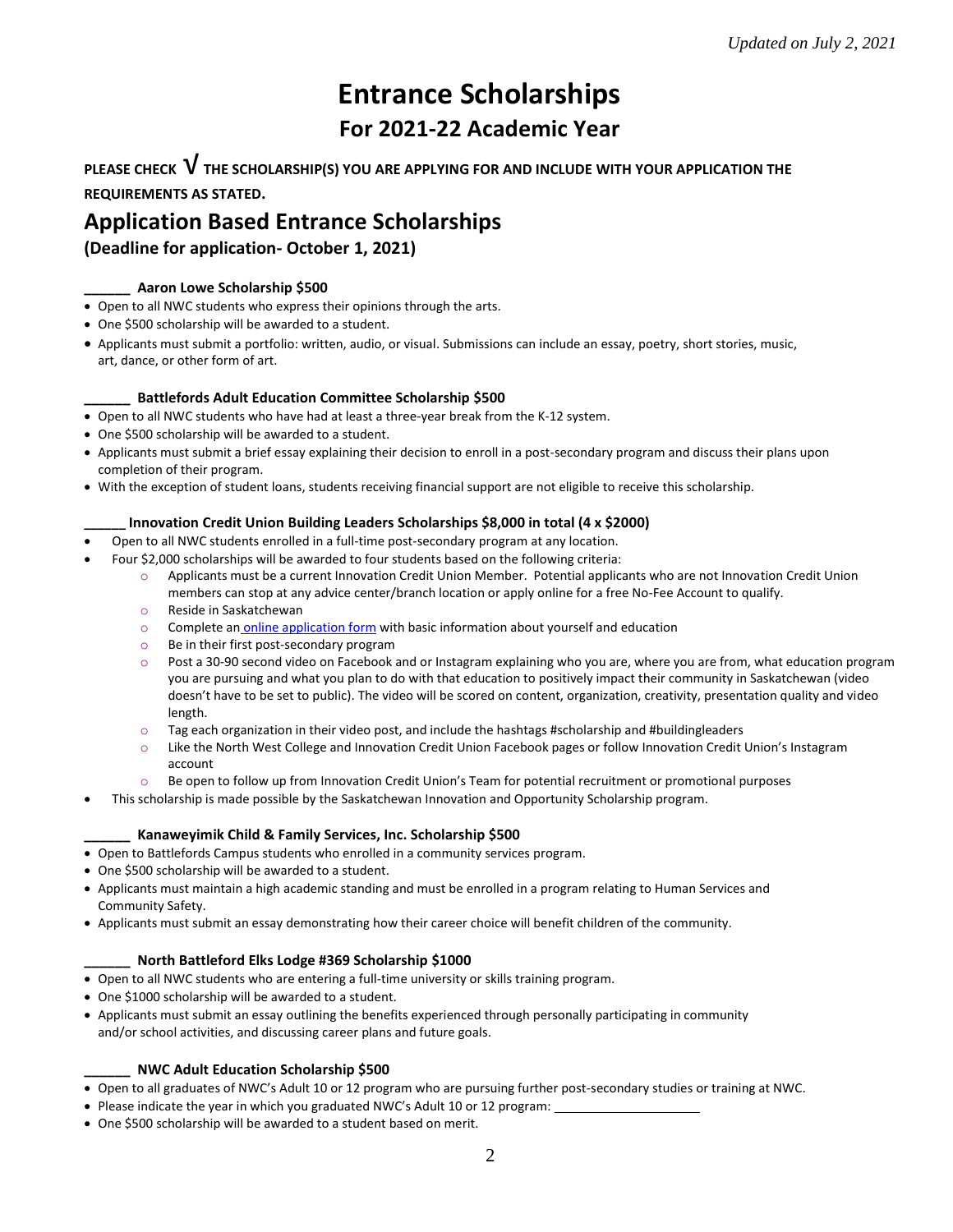# **Entrance Scholarships For 2021-22 Academic Year**

**PLEASE CHECK** √**THE SCHOLARSHIP(S) YOU ARE APPLYING FOR AND INCLUDE WITH YOUR APPLICATION THE REQUIREMENTS AS STATED.**

# **Application Based Entrance Scholarships**

**(Deadline for application- October 1, 2021)**

### **\_\_\_\_\_\_ Aaron Lowe Scholarship \$500**

- Open to all NWC students who express their opinions through the arts.
- One \$500 scholarship will be awarded to a student.
- Applicants must submit a portfolio: written, audio, or visual. Submissions can include an essay, poetry, short stories, music, art, dance, or other form of art.

# **\_\_\_\_\_\_ Battlefords Adult Education Committee Scholarship \$500**

- Open to all NWC students who have had at least a three-year break from the K-12 system.
- One \$500 scholarship will be awarded to a student.
- Applicants must submit a brief essay explaining their decision to enroll in a post-secondary program and discuss their plans upon completion of their program.
- With the exception of student loans, students receiving financial support are not eligible to receive this scholarship.

# **\_\_\_\_\_\_ Innovation Credit Union Building Leaders Scholarships \$8,000 in total (4 x \$2000)**

- Open to all NWC students enrolled in a full-time post-secondary program at any location.
	- Four \$2,000 scholarships will be awarded to four students based on the following criteria:
		- o Applicants must be a current Innovation Credit Union Member. Potential applicants who are not Innovation Credit Union members can stop at any advice center/branch location or apply online for a free No-Fee Account to qualify. o Reside in Saskatchewan
		- $\circ$  Complete an [online application form](https://marketing.innovationcu.ca/scholarship/) with basic information about yourself and education
		- o Be in their first post-secondary program
		- o Post a 30-90 second video on Facebook and or Instagram explaining who you are, where you are from, what education program you are pursuing and what you plan to do with that education to positively impact their community in Saskatchewan (video doesn't have to be set to public). The video will be scored on content, organization, creativity, presentation quality and video length.
		- $\circ$  Tag each organization in their video post, and include the hashtags #scholarship and #buildingleaders
		- $\circ$  Like the North West College and Innovation Credit Union Facebook pages or follow Innovation Credit Union's Instagram account
		- $\circ$  Be open to follow up from Innovation Credit Union's Team for potential recruitment or promotional purposes
- This scholarship is made possible by the Saskatchewan Innovation and Opportunity Scholarship program.

### **\_\_\_\_\_\_ Kanaweyimik Child & Family Services, Inc. Scholarship \$500**

- Open to Battlefords Campus students who enrolled in a community services program.
- One \$500 scholarship will be awarded to a student.
- Applicants must maintain a high academic standing and must be enrolled in a program relating to Human Services and Community Safety.
- Applicants must submit an essay demonstrating how their career choice will benefit children of the community.

### **\_\_\_\_\_\_ North Battleford Elks Lodge #369 Scholarship \$1000**

- Open to all NWC students who are entering a full-time university or skills training program.
- One \$1000 scholarship will be awarded to a student.
- Applicants must submit an essay outlining the benefits experienced through personally participating in community and/or school activities, and discussing career plans and future goals.

### **\_\_\_\_\_\_ NWC Adult Education Scholarship \$500**

- Open to all graduates of NWC's Adult 10 or 12 program who are pursuing further post-secondary studies or training at NWC.
- Please indicate the year in which you graduated NWC's Adult 10 or 12 program:
- One \$500 scholarship will be awarded to a student based on merit.